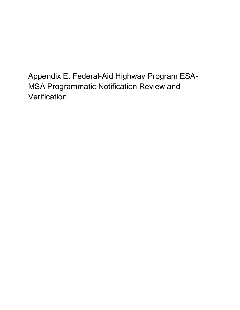Appendix E. Federal-Aid Highway Program ESA-MSA Programmatic Notification Review and **Verification**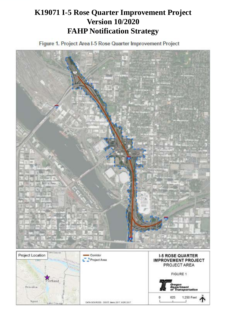# **K19071 I-5 Rose Quarter Improvement Project Version 10/2020 FAHP Notification Strategy**

Figure 1. Project Area I-5 Rose Quarter Improvement Project

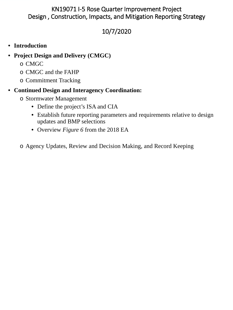# KN19071 I-5 Rose Quarter Improvement Project Design , Construction, Impacts, and Mitigation Reporting Strategy

# 10/7/2020

# • **Introduction**

- **Project Design and Delivery (CMGC)**
	- o CMGC
	- o CMGC and the FAHP
	- o Commitment Tracking

# • **Continued Design and Interagency Coordination:**

- o Stormwater Management
	- Define the project's ISA and CIA
	- Establish future reporting parameters and requirements relative to design updates and BMP selections
	- Overview *Figure 6* from the 2018 EA

o Agency Updates, Review and Decision Making, and Record Keeping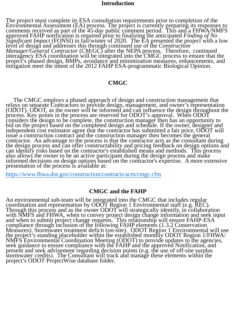### **Introduction**

The project must complete its ESA consultation requirements prior to completion of the Environmental Assessment (EA) process. The project is currently preparing its responses to comments received as part of the 45-day public comment period. This and a FHWA/NMFS approved FAHP notification is required prior to finalizing the anticipated *Finding of No Significant Impact* (FONSI) in fall/winter of 2020. The EA presented the project with a low level of design and addresses this through continued use of the *Construction Manager/General Contractor* (CM/GC) after the NEPA process. Therefore, continued interagency ESA coordination will be integrated into the CMGC process to ensure that the project's phased design, BMPs, avoidance and minimization measures, enhancements, and mitigation meet the intent of the 2012 FAHP ESA-programmatic Biological Opinion.

### **CMGC**

The CMGC employs a phased approach of design and construction management that relays on separate Contractors to provide design, management, and owner's representation (ODOT). ODOT, as the owner will be informed and can influence the design throughout the process. Key points in the process are reserved for ODOT's approval. When ODOT considers the design to be complete, the construction manager then has an opportunity to bid on the project based on the completed design and schedule. If the owner, designer and independent cost estimator agree that the contractor has submitted a fair price, ODOT will issue a construction contract and the construction manager then becomes the general contractor. An advantage to the process is that the contractor acts as the consultant during the design process and can offer constructability and pricing feedback on design options and can identify risks based on the contractor's established means and methods. This process also allows the owner to be an active participant during the design process and make informed decisions on design options based on the contractor's expertise. A more extensive presentation of the process is available at:

https://www.fhwa.dot.gov/construction/contracts/acm/cmgc.cfm

### **CMGC and the FAHP**

An environmental sub-team will be integrated into the CMGC that includes regular coordination and representation by ODOT Region 1 Environmental staff (e.g. REC). Through this process and as the owner ODOT will strategically identify, in collaboration with NMFS and FHWA, when to convey project design change information and seek input and when to submit project change requests. This relationship will ensure FAHP-ESA compliance through inclusion of the following FAHP elements (1.3.2 Conservation Measures): Stormwater treatment deficit (on-site). ODOT Region 1 Environmental will use the project's standing placeholder within the established monthly ODOT Region 1/FHWA/ NMFS Environmental Coordination Meeting (ODOT) to provide updates to the agencies, seek guidance to ensure compliance with the FAHP and the approved Notification, and present and seek advisement regarding decision points (e.g. the use of off-site surplus stormwater credits). The Consultant will track and manage these elements within the project's ODOT ProjectWise database folder.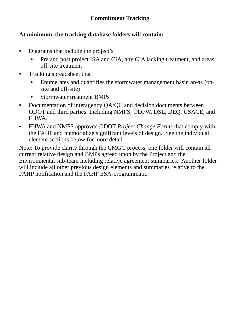## **At minimum, the tracking database folders will contain:**

- Diagrams that include the project's
	- Pre and post project ISA and CIA, any CIA lacking treatment, and areas off-site treatment
- Tracking spreadsheet that
	- Enumerates and quantifies the stormwater management basin areas (onsite and off-site)
	- Stormwater treatment BMPs
- Documentation of interagency QA/QC and decision documents between ODOT and third parties Including NMFS, ODFW, DSL, DEQ, USACE, and FHWA.
- FHWA and NMFS approved ODOT *Project Change Forms* that comply with the FAHP and memorialize significant levels of design. See the individual element sections below for more detail.

Note: To provide clarity through the CMGC process, one folder will contain all current relative design and BMPs agreed upon by the Project and the Environmental sub-team including relative agreement summaries. Another folder will include all other previous design elements and summaries relative to the FAHP notification and the FAHP ESA-programmatic.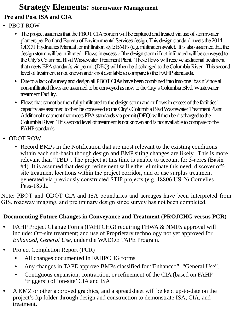# **Strategy Elements: Stormwater Management Pre and Post ISA and CIA**

- PBOT ROW
	- The project assumes that the PBOT CIA portion will be captured and treated via use of stormwater planters per Portland Bureau of Environmental Services design. This design standard meets the 2014 ODOT Hydraulics Manual for infiltration style BMPs (e.g. infiltration swale). It is also assumed that the design storm will be infiltrated. Flows in excess of the design storm if not infiltrated will be conveyed to the City's Columbia Blvd Wastewater Treatment Plant. These flows will receive additional treatment that meets EPA standards via permit (DEQ) will then be discharged to the Columbia River. This second level of treatment is not known and is not available to compare to the FAHP standards.
	- Due to a lack of survey and design all PBOT CIAs have been combined into into one 'basin' since all non-infiltrated flows are assumed to be conveyed as now to the City's Columbia Blvd. Wastewater treatment Facility.
	- Flows that cannot be then fully infiltrated to the design storm and or flows in excess of the facilities' capacity are assumed to then be conveyed to the City's Columbia Blvd Wastewater Treatment Plant. Additional treatment that meets EPA standards via permit (DEQ) will then be discharged to the Columbia River. This second level of treatment is not known and is not available to compare to the FAHPstandards.
- ODOT ROW
	- Record BMPs in the Notification that are most relevant to the existing conditions within each sub-basin though design and BMP siting changes are likely. This is more relevant than "TBD". The project at this time is unable to account for 3-acres (Basin #4). It is assumed that design refinement will either eliminate this need, discover offsite treatment locations within the project corridor, and or use surplus treatment generated via previously constructed STIP projects (e.g. 18806 US-26 Cornelies Pass-185th.

Note: PBOT and ODOT CIA and ISA boundaries and acreages have been interpreted from GIS, roadway imaging, and preliminary design since survey has not been completed.

# **Documenting Future Changes in Conveyance and Treatment (PROJCHG versus PCR)**

- FAHP Project Change Forms (FAHPCHG) requiring FHWA & NMFS approval will include: Off-site treatment; and use of Proprietary technology not yet approved for *Enhanced, General Use,* under the WADOE TAPE Program.
- Project Completion Report (PCR)
	- All changes documented in FAHPCHG forms
	- Any changes in TAPE approve BMPs classified for "Enhanced", "General Use".
	- Contiguous expansion, contraction, or refinement of the CIA (based on FAHP 'triggers') of 'on-site' CIA and ISA
- A KMZ or other approved graphics, and a spreadsheet will be kept up-to-date on the project's ftp folder through design and construction to demonstrate ISA, CIA, and treatment.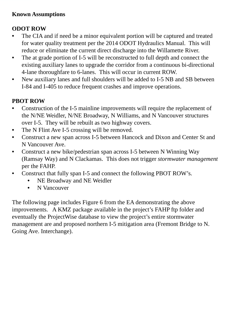## **Known Assumptions**

# **ODOT ROW**

- The CIA and if need be a minor equivalent portion will be captured and treated for water quality treatment per the 2014 ODOT Hydraulics Manual. This will reduce or eliminate the current direct discharge into the Willamette River.
- The at grade portion of I-5 will be reconstructed to full depth and connect the existing auxiliary lanes to upgrade the corridor from a continuous bi-directional 4-lane thoroughfare to 6-lanes. This will occur in current ROW.
- New auxiliary lanes and full shoulders will be added to I-5 NB and SB between I-84 and I-405 to reduce frequent crashes and improve operations.

# **PBOT ROW**

- Construction of the I-5 mainline improvements will require the replacement of the N/NE Weidler, N/NE Broadway, N Williams, and N Vancouver structures over I-5. They will be rebuilt as two highway covers.
- The N Flint Ave I-5 crossing will be removed.
- Construct a new span across I-5 between Hancock and Dixon and Center St and N Vancouver Ave.
- Construct a new bike/pedestrian span across I-5 between N Winning Way (Ramsay Way) and N Clackamas. This does not trigger *stormwater management* per the FAHP.
- Construct that fully span I-5 and connect the following PBOT ROW's.
	- NE Broadway and NE Weidler
	- N Vancouver

The following page includes Figure 6 from the EA demonstrating the above improvements. A KMZ package available in the project's FAHP ftp folder and eventually the ProjectWise database to view the project's entire stormwater management are and proposed northern I-5 mitigation area (Fremont Bridge to N. Going Ave. Interchange).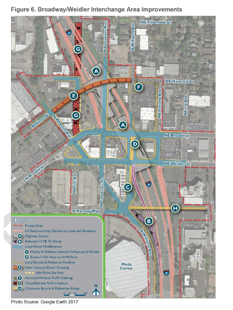# Figure 6. Broadway/Weidler Interchange Area Improvements



Photo Source: Google Earth 2017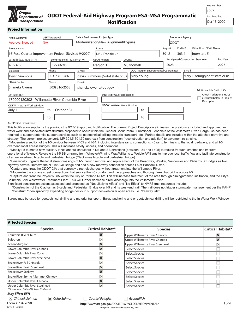

# **ODOT Federal-Aid Highway Program ESA-MSA Programmatic Notification**

| <b>Kev Number</b> |
|-------------------|
|                   |

19071 Last Modified

Oct 13, 2020

#### **Project Information**

| <b>NMFS Approval</b>                                                                                                                                                                                                                                                                                                             |                           | <b>USFW Approval</b> |                              |        |                                                   |                         | Select Predominant Project Type                                                            |           |                       |            |                                         |                |      |       | Proponent Agency |                                            |                               |                         |                             |
|----------------------------------------------------------------------------------------------------------------------------------------------------------------------------------------------------------------------------------------------------------------------------------------------------------------------------------|---------------------------|----------------------|------------------------------|--------|---------------------------------------------------|-------------------------|--------------------------------------------------------------------------------------------|-----------|-----------------------|------------|-----------------------------------------|----------------|------|-------|------------------|--------------------------------------------|-------------------------------|-------------------------|-----------------------------|
| <b>Approval Needed</b>                                                                                                                                                                                                                                                                                                           | N/A                       |                      |                              |        | Modernization/New Alignment/Bypass<br><b>ODOT</b> |                         |                                                                                            |           |                       |            |                                         |                |      |       |                  |                                            |                               |                         |                             |
| Project Name                                                                                                                                                                                                                                                                                                                     | End MP<br>Route<br>Beg MP |                      |                              |        |                                                   |                         |                                                                                            |           |                       |            | Other Road / Path Name                  |                |      |       |                  |                                            |                               |                         |                             |
| I-5 Rose Quarter Improvement Project (Revised 9/2020)                                                                                                                                                                                                                                                                            |                           |                      |                              |        |                                                   |                         | II-5 - Pacific - 1                                                                         |           |                       |            |                                         | 301.5          |      | 303.4 |                  |                                            | Interstate 5                  |                         |                             |
|                                                                                                                                                                                                                                                                                                                                  |                           |                      |                              |        |                                                   |                         |                                                                                            |           |                       |            |                                         |                |      |       |                  | <b>Anticipated Construction Start Year</b> |                               |                         | <b>End Year</b>             |
| Latitude (e.g. 45.4591° N)                                                                                                                                                                                                                                                                                                       |                           |                      | Longitude (e.g. -123.8442°W) |        |                                                   | <b>ODOT Region</b>      |                                                                                            | County    |                       |            |                                         |                |      |       |                  |                                            |                               |                         |                             |
| 45.53788                                                                                                                                                                                                                                                                                                                         |                           |                      | 122.66919                    |        |                                                   | Region 1                |                                                                                            | Multnomah |                       |            |                                         |                | 2023 |       |                  |                                            |                               |                         | 2027                        |
| Biologist                                                                                                                                                                                                                                                                                                                        |                           | Phone                |                              | E-mail |                                                   |                         |                                                                                            |           |                       |            | ODOT Region Environmental Coordinator   |                |      |       | E-mail           |                                            |                               |                         |                             |
| Devin Simmons                                                                                                                                                                                                                                                                                                                    |                           |                      | 503-731-8266                 |        |                                                   |                         | devin.l.simmons@odot.state.or.us                                                           |           |                       | Mary Young |                                         |                |      |       |                  |                                            | Mary.E.Young@odot.state.or.us |                         |                             |
| <b>FHWA Contact</b>                                                                                                                                                                                                                                                                                                              |                           | Phone                |                              | E-mail |                                                   |                         |                                                                                            |           |                       |            |                                         |                |      |       |                  |                                            |                               |                         |                             |
| Shaneka Owens                                                                                                                                                                                                                                                                                                                    |                           |                      | (503) 316-2553               |        |                                                   |                         | shaneka.owens@dot.gov                                                                      |           |                       |            |                                         |                |      |       |                  |                                            | Additional 6th Field HUCs     |                         |                             |
| 6th Field HUC                                                                                                                                                                                                                                                                                                                    |                           |                      |                              |        |                                                   |                         | 6th Field HUC (if applicable)                                                              |           |                       |            |                                         |                |      |       |                  |                                            | Check if additional HUCs      |                         |                             |
| 170900120302 - Willamette River-Columbia River                                                                                                                                                                                                                                                                                   |                           |                      |                              |        |                                                   |                         |                                                                                            |           |                       |            |                                         |                |      |       |                  |                                            |                               |                         | are listed below in Project |
| ODFW In-Water Work Window                                                                                                                                                                                                                                                                                                        |                           |                      |                              |        |                                                   |                         | ODFW In-Water Work Window                                                                  |           |                       |            |                                         |                |      |       |                  |                                            | Description.                  |                         |                             |
| October 31<br>July 1<br>to                                                                                                                                                                                                                                                                                                       |                           |                      |                              |        |                                                   |                         |                                                                                            |           |                       | to         |                                         |                |      |       |                  |                                            |                               |                         |                             |
|                                                                                                                                                                                                                                                                                                                                  |                           |                      |                              |        |                                                   |                         |                                                                                            |           |                       |            |                                         |                |      |       |                  |                                            |                               |                         |                             |
|                                                                                                                                                                                                                                                                                                                                  |                           | to                   |                              |        |                                                   |                         |                                                                                            |           |                       | to         |                                         |                |      |       |                  |                                            |                               |                         |                             |
| <b>Brief Project Description:</b>                                                                                                                                                                                                                                                                                                |                           |                      |                              |        |                                                   |                         |                                                                                            |           |                       |            |                                         |                |      |       |                  |                                            |                               |                         |                             |
| This Notification supplants the previous the 9/13/19 approved Notification. The current Project Description eliminates the previously included and approved in-<br>water work and associated infrastructure proposed to occur within the General Scour Prism / Functional Floodplain of the Willamette River. Barge use has been |                           |                      |                              |        |                                                   |                         |                                                                                            |           |                       |            |                                         |                |      |       |                  |                                            |                               |                         |                             |
| retained to support potential support activities such as geotechnical drilling, material transport, etc. Further details are included within the attached narrative and                                                                                                                                                          |                           |                      |                              |        |                                                   |                         |                                                                                            |           |                       |            |                                         |                |      |       |                  |                                            |                               |                         |                             |
| strategy. The current project converts MP 301.5-301.79 (approx.) from construction (reconstruction and addition) to pavement re-striping.                                                                                                                                                                                        |                           |                      |                              |        |                                                   |                         |                                                                                            |           |                       |            |                                         |                |      |       |                  |                                            |                               |                         |                             |
| *Modernize a section of the I-5 corridor between I-405 and I-84, including interstate ramp connections, I-5 ramp terminals to the local roadways, and all I-5                                                                                                                                                                    |                           |                      |                              |        |                                                   |                         |                                                                                            |           |                       |            |                                         |                |      |       |                  |                                            |                               |                         |                             |
| overhead local access bridges. This will increase safety, access, and operations.<br>*Modify I-5 to create new auxiliary lanes and full shoulders in NB and SB directions (between I-84 and I-405) to reduce frequent crashes and improve                                                                                        |                           |                      |                              |        |                                                   |                         |                                                                                            |           |                       |            |                                         |                |      |       |                  |                                            |                               |                         |                             |
| operational efficiency; Relocate the I-5 SB on-ramp from Wheeler/Winning Way/Williams to Weidler/Williams to improve local traffic flow and facilitate construction                                                                                                                                                              |                           |                      |                              |        |                                                   |                         |                                                                                            |           |                       |            |                                         |                |      |       |                  |                                            |                               |                         |                             |
| of a new overhead bicycle and pedestrian bridge (Clackamas bicycle and pedestrian bridge).                                                                                                                                                                                                                                       |                           |                      |                              |        |                                                   |                         |                                                                                            |           |                       |            |                                         |                |      |       |                  |                                            |                               |                         |                             |
| *Seismically upgrade the local street crossings of I-5 through removal and replacement of the Broadway, Weidler, Vancouver and Williams St Bridges as two<br>highway covers. Remove the N Flint Ave Bridge and add a new roadway connection across I-5 at Hancock-Dixon.                                                         |                           |                      |                              |        |                                                   |                         |                                                                                            |           |                       |            |                                         |                |      |       |                  |                                            |                               |                         |                             |
| *Capture and treat the ODOT CIA that currently direct-discharges without treatment into the Willamette River.                                                                                                                                                                                                                    |                           |                      |                              |        |                                                   |                         |                                                                                            |           |                       |            |                                         |                |      |       |                  |                                            |                               |                         |                             |
| *Modernize the surface street connections that service the I-5 corridor, and the approaches and thoroughfares that bridge across I-5.                                                                                                                                                                                            |                           |                      |                              |        |                                                   |                         |                                                                                            |           |                       |            |                                         |                |      |       |                  |                                            |                               |                         |                             |
| *Capture and treat the Project's CIA within the City of Portland ROW. This will increase treatment of the area through "Raingardens", infiltration, and the City's                                                                                                                                                               |                           |                      |                              |        |                                                   |                         |                                                                                            |           |                       |            |                                         |                |      |       |                  |                                            |                               |                         |                             |
| Columbia Blvd Wastewater Treatment Plant. This will further decrease direct discharge into the Willamette River.<br>Significant construction actions assessed and proposed as "Not Likely to Affect" and "No Effect" to NMFS trust resources include:                                                                            |                           |                      |                              |        |                                                   |                         |                                                                                            |           |                       |            |                                         |                |      |       |                  |                                            |                               |                         |                             |
| *Construction of the Clackamas Bicycle and Pedestrian Bridge over I-5 and its west-end trail. The trail does not trigger stormwater management per the FAHP.                                                                                                                                                                     |                           |                      |                              |        |                                                   |                         |                                                                                            |           |                       |            |                                         |                |      |       |                  |                                            |                               |                         |                             |
| *Construct 'open space' by expanding bridge decks to support non-vehicular open areas. I.e. "freeway lids".                                                                                                                                                                                                                      |                           |                      |                              |        |                                                   |                         |                                                                                            |           |                       |            |                                         |                |      |       |                  |                                            |                               |                         |                             |
|                                                                                                                                                                                                                                                                                                                                  |                           |                      |                              |        |                                                   |                         |                                                                                            |           |                       |            |                                         |                |      |       |                  |                                            |                               |                         |                             |
| Barges may be used for geotechnical drilling and material transport. Barge anchoring and or geotechnical drilling will be restricted to the In-Water Work Window.                                                                                                                                                                |                           |                      |                              |        |                                                   |                         |                                                                                            |           |                       |            |                                         |                |      |       |                  |                                            |                               |                         |                             |
|                                                                                                                                                                                                                                                                                                                                  |                           |                      |                              |        |                                                   |                         |                                                                                            |           |                       |            |                                         |                |      |       |                  |                                            |                               |                         |                             |
|                                                                                                                                                                                                                                                                                                                                  |                           |                      |                              |        |                                                   |                         |                                                                                            |           |                       |            |                                         |                |      |       |                  |                                            |                               |                         |                             |
|                                                                                                                                                                                                                                                                                                                                  |                           |                      |                              |        |                                                   |                         |                                                                                            |           |                       |            |                                         |                |      |       |                  |                                            |                               |                         |                             |
| <b>Affected Species</b>                                                                                                                                                                                                                                                                                                          |                           |                      |                              |        |                                                   |                         |                                                                                            |           |                       |            |                                         |                |      |       |                  |                                            |                               |                         |                             |
|                                                                                                                                                                                                                                                                                                                                  | <b>Species</b>            |                      |                              |        |                                                   |                         | <b>Critical Habitat*</b>                                                                   |           |                       |            |                                         | <b>Species</b> |      |       |                  |                                            |                               |                         | <b>Critical Habitat*</b>    |
| Columbia River Chum                                                                                                                                                                                                                                                                                                              |                           |                      |                              |        |                                                   | $\overline{\mathsf{x}}$ |                                                                                            |           |                       |            | <b>Upper Willamette River Chinook</b>   |                |      |       |                  |                                            |                               | $\overline{\mathsf{x}}$ |                             |
| Eulachon                                                                                                                                                                                                                                                                                                                         |                           |                      |                              |        |                                                   | $\overline{\mathsf{x}}$ |                                                                                            |           |                       |            | <b>Upper Willamette River Chinook</b>   |                |      |       |                  |                                            |                               | $\overline{\mathsf{x}}$ |                             |
| Green Sturgeon                                                                                                                                                                                                                                                                                                                   |                           |                      |                              |        |                                                   | $\overline{\mathsf{x}}$ |                                                                                            |           |                       |            | <b>Upper Willamette River Steelhead</b> |                |      |       |                  |                                            |                               | $\overline{\mathsf{x}}$ |                             |
| Lower Columbia River Chinook                                                                                                                                                                                                                                                                                                     |                           |                      |                              |        |                                                   | $\overline{\mathsf{x}}$ |                                                                                            |           | <b>Select Species</b> |            |                                         |                |      |       |                  |                                            |                               |                         |                             |
| Lower Columbia River Coho                                                                                                                                                                                                                                                                                                        |                           |                      |                              |        |                                                   | $\overline{\mathsf{x}}$ |                                                                                            |           | <b>Select Species</b> |            |                                         |                |      |       |                  |                                            |                               |                         |                             |
| Lower Columbia River Steelhead                                                                                                                                                                                                                                                                                                   |                           |                      |                              |        |                                                   | $\overline{\mathsf{x}}$ |                                                                                            |           | <b>Select Species</b> |            |                                         |                |      |       |                  |                                            |                               |                         |                             |
| <b>Snake River Fall Chinook</b>                                                                                                                                                                                                                                                                                                  |                           |                      |                              |        |                                                   | $\overline{\mathbf{x}}$ |                                                                                            |           | <b>Select Species</b> |            |                                         |                |      |       |                  |                                            |                               |                         |                             |
| Snake River Basin Steelhead                                                                                                                                                                                                                                                                                                      |                           |                      |                              |        |                                                   | $\overline{\mathsf{x}}$ |                                                                                            |           | <b>Select Species</b> |            |                                         |                |      |       |                  |                                            |                               |                         |                             |
| Snake River Sockeye                                                                                                                                                                                                                                                                                                              |                           |                      |                              |        |                                                   | $\overline{\mathsf{x}}$ |                                                                                            |           | <b>Select Species</b> |            |                                         |                |      |       |                  |                                            |                               |                         |                             |
| Snake River Spring / Summer Chinook                                                                                                                                                                                                                                                                                              |                           |                      |                              |        |                                                   | $\overline{\mathsf{x}}$ |                                                                                            |           | <b>Select Species</b> |            |                                         |                |      |       |                  |                                            |                               |                         |                             |
| Upper Columbia River Chinook                                                                                                                                                                                                                                                                                                     |                           |                      |                              |        |                                                   | $\overline{\mathsf{x}}$ |                                                                                            |           | <b>Select Species</b> |            |                                         |                |      |       |                  |                                            |                               |                         |                             |
| Upper Columbia River Steelhead                                                                                                                                                                                                                                                                                                   |                           |                      |                              |        |                                                   | $\overline{\mathsf{x}}$ |                                                                                            |           | <b>Select Species</b> |            |                                         |                |      |       |                  |                                            |                               |                         |                             |
| *Or proposed Critical Habitat if relevant.<br><b>May Effect EFH</b>                                                                                                                                                                                                                                                              |                           |                      |                              |        |                                                   |                         |                                                                                            |           |                       |            |                                         |                |      |       |                  |                                            |                               |                         |                             |
| $\mathsf{\overline{X}}$ Chinook Salmon                                                                                                                                                                                                                                                                                           |                           |                      | $\overline{X}$ Coho Salmon   |        |                                                   |                         | Coastal Pelagics                                                                           |           | Groundfish            |            |                                         |                |      |       |                  |                                            |                               |                         |                             |
| Form # 734-2898                                                                                                                                                                                                                                                                                                                  |                           |                      |                              |        |                                                   |                         |                                                                                            |           |                       |            |                                         |                |      |       |                  |                                            |                               |                         |                             |
| Level 2 - Limited                                                                                                                                                                                                                                                                                                                |                           |                      |                              |        |                                                   |                         | http://www.oregon.gov/ODOT/HWY/GEOENVIRONMENTAL/<br>Template Last Revised October 15, 2014 |           |                       |            |                                         |                |      |       |                  |                                            |                               |                         | 1 of 4                      |
|                                                                                                                                                                                                                                                                                                                                  |                           |                      |                              |        |                                                   |                         |                                                                                            |           |                       |            |                                         |                |      |       |                  |                                            |                               |                         |                             |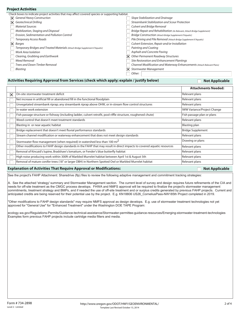|                       | <b>FIVIELLALLIVILIES</b>                                                                          |                                                                          |
|-----------------------|---------------------------------------------------------------------------------------------------|--------------------------------------------------------------------------|
|                       | Check boxes to indicate project activities that may affect covered species or supporting habitat. |                                                                          |
|                       | $\mathsf{\times}$ General Heavy Construction                                                      | Slope Stabilization and Drainage                                         |
| $\boldsymbol{\times}$ | <b>Geotechnical Drilling</b>                                                                      | Streambank Stabilization and Scour Protection                            |
|                       | <b>Material Sources</b>                                                                           | <b>Culvert and Bridge Removal</b>                                        |
|                       | Mobilization, Staging and Disposal                                                                | Bridge Repair and Rehabilitation (As Relevant, Attach Bridge Supplement) |
|                       | Erosion, Sedimentation and Pollution Control                                                      | Bridge Construction (Attach Bridge Supplement if Aquatic)                |
|                       | <b>Temporary Access Roads</b>                                                                     | Pile Driving and Pile Removal (Attach Bridge Supplement if Aquatic)      |
| $\boldsymbol{\times}$ | Barges                                                                                            | Culvert Extension, Repair and/or Installation                            |
|                       | Temporary Bridges and Treated Materials (Attach Bridge Supplement if Aquatic)                     | Painting and Coating                                                     |
|                       | Work Area Isolation                                                                               | Asphalt and Concrete Paving                                              |
|                       | Clearing, Grubbing and Earthwork                                                                  | $\vert\mathbf{X}\vert$ Other Permanent Roadway Structures                |
|                       | Weed Removal                                                                                      | Site Restoration and Enhancement Plantings                               |
|                       | <b>Trees and Down Timber Removal</b>                                                              | Channel Modification and Waterway Enhancements (Attach Relevant Plans)   |
|                       | <b>Blasting</b>                                                                                   | $\mathsf{\times}$ Stormwater Management                                  |
|                       |                                                                                                   | Other:                                                                   |

#### Activities Requiring Approval from Services (check which apply; explain / justify below) **Not Applicable Not Applicable**

|                         |                                                                                                                         | <b>Attachments Needed:</b>         |
|-------------------------|-------------------------------------------------------------------------------------------------------------------------|------------------------------------|
| $\overline{\mathsf{x}}$ | On-site stormwater treatment deficit                                                                                    | Relevant plans                     |
|                         | Net increase in artificial fill or abandoned fill in the functional floodplain                                          | Relevant plans                     |
|                         | Unvegetated streambank riprap; any streambank riprap above OHW, or in-stream flow control structures                    | Relevant plans                     |
|                         | In-water work extension                                                                                                 | <b>IWW Variance/Project Change</b> |
|                         | Fish passage structure or fishway (including ladder, culvert retrofit, pool-riffle structure, roughened chute)          | Fish passage plan or plans         |
|                         | Weed control that doesn't meet treatment standards                                                                      | Relevant plans                     |
|                         | Blasting in or near aquatic habitat                                                                                     | Blasting plan                      |
|                         | Bridge replacement that doesn't meet fluvial performance standards                                                      | <b>Bridge Supplement</b>           |
|                         | Stream channel modification or waterway enhancement that does not meet design standards                                 | Relevant plans                     |
|                         | Stormwater flow management (when required) in watershed less than 100 mi $^2$                                           | Drawing or plans                   |
|                         | Other modifications to FAHP design standards in the FAHP that may result in direct impacts to covered aquatic resources | Relevant plans                     |
|                         | Removal of Kincaid's lupine, Bradshaw's lomatium, or Fender's blue butterfly habitat                                    | Relevant plans                     |
|                         | High noise producing work within 300ft of Marbled Murrelet habitat between April 1st & August 5th                       | Relevant plans                     |
|                         | Removal of mature conifer trees (18" or larger DBH) in Northern Spotted Owl or Marbled Murrelet habitat                 | Relevant plans                     |

#### **Explanation of Activities That Require Approval or Modifications:** Not Applicable **Not Applicable Not Applicable**

See the project's FAHP Attachment: Sharedrive (ftp) files to review the following adaptive management and commitment tracking strategies:

A. See the attached 'strategy' summary and Stormwater Management section. The current level of survey and design requires future refinements of the CIA and needs for off-site treatment as the CMGC process develops. FHWA and NMFS approval will be required to finalize the project's stormwater management commitments, treatment strategy and BMPs, and if needed the use of off-site treatment and or surplus credits generated by previous FAHP projects. Current and anticipated credits are being reserved for their potential use by the project. E.g. KN18806 US26\_CorneliusPass-NW185th Project completed in 2019.

"Other modifications to FAHP design standards" may require NMFS approval as design develops. E.g. use of stormwater treatment technologies not yet approved for "General Use" for "Enhanced Treatment" under the Washington DOE TAPE Program:

ecology.wa.gov/Regulations-Permits/Guidance-technical-assistance/Stormwater-permittee-guidance-resources/Emerging-stormwater-treatment-technologies Examples form previous FAHP projects include cartridge media filters and media.

**Project Activities**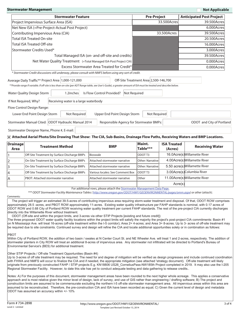| <b>Stormwater Management</b>                                                                                                                                       |                                       | <b>Not Applicable</b>           |
|--------------------------------------------------------------------------------------------------------------------------------------------------------------------|---------------------------------------|---------------------------------|
| <b>Stormwater Feature</b>                                                                                                                                          | <b>Pre-Project</b>                    | <b>Anticipated Post Project</b> |
| Project Impervious Surface Area (ISA)                                                                                                                              | 33.500Acres                           | 39.500Acres                     |
| Net New ISA (=Pre-Project-Actual Post Project)                                                                                                                     |                                       | 6.000Acres                      |
| Contributing Impervious Area (CIA)                                                                                                                                 | 33.500Acres                           | 39.500Acres                     |
| <b>Total ISA Treated On-site</b>                                                                                                                                   |                                       | 20.500Acres                     |
| <b>Total ISA Treated Off-site</b>                                                                                                                                  |                                       | 16.000Acres                     |
| Stormwater Credits Used*                                                                                                                                           |                                       | 3.000Acres                      |
| Total Managed ISA (on- and off-site and credits)                                                                                                                   |                                       | 39.500Acres                     |
| Net Water Quality Treatment (=Total Managed ISA-Post Project CIA)                                                                                                  |                                       | 0.000Acres                      |
| Excess Stormwater Area Treated for Credit*                                                                                                                         |                                       | 0.000Acres                      |
| * Stormwater Credit discussions still underway, please consult with NMFS before using any sort of credit.                                                          |                                       |                                 |
| Average Daily Traffic** Project Area   1,000-121,000                                                                                                               | Off-Site Treatment Area 2,500-146,700 |                                 |
| **Provide range if variable. If off-site is less than on-site (per ADT Range table, see User's Guide), a greater amount of ISA must be treated and describe below. |                                       |                                 |
| Water Quality Design Storm<br>Is Flow Control Provided?<br>1.2inches                                                                                               | Not Required                          |                                 |
| If Not Required, Why?<br>Receiving water is a large waterbody                                                                                                      |                                       |                                 |
| Flow Control Design Range:                                                                                                                                         |                                       |                                 |
| Not Required<br>Upper End Point Design Storm<br>Lower End Point Design Storm                                                                                       | Not Required                          |                                 |
| Stormwater Manual Cited: ODOT Hydraulic Manual 2014<br>Responsible Agency for Stormwater BMPs:                                                                     |                                       | ODOT and City of Portland       |
| Stormwater Designer Name, Phone #, E-mail:                                                                                                                         |                                       |                                 |

#### **Attached Aerial Photo/Site Drawing That Show: The CIA, Sub-Basins, Drainage Flow Paths, Receiving Waters and BMP Locations.**

| Drainage<br>Area | <b>Treatment Method</b>                      | <b>BMP</b>                       | Maint.<br>Table*** | <b>ISA Treated</b><br>(Acres) | <b>Receiving Water</b>        |
|------------------|----------------------------------------------|----------------------------------|--------------------|-------------------------------|-------------------------------|
|                  | Off-Site Treatment by Surface Discharge BMPs | Bioswale                         | ODOT <sub>T3</sub> |                               | 16.0Acre(s) Willamette River  |
| 12               | On-Site Treatment by Surface Discharge BMPs  | Attached stormwater narrative    | Other: Narrativel  |                               | 4.00Acre(s) Willamette River  |
| 3                | On-Site Treatment by Surface Discharge BMPs  | Attached stormwater narrative    | Other: Narrative   |                               | 5.50 acre(s) Willamette River |
| 14               | Off-Site Treatment by Surface Discharge BMPs | Various locales: See Comment Box | <b>ODOTT3</b>      |                               | 3.00Acre(s)Columbia River     |
| ۱A               | <b>PBOT: Attached stormwater narrative</b>   | Attached stormwater narrative    | ∥Other             |                               | 11.00Acre(s) Willamette River |
|                  |                                              |                                  |                    | Acre(s)                       |                               |

For additional rows, please attach the Stormwater Management Data Page.

\*\*\* ODOT Stormwater Facility Maintenance Tables ( http://www.oregon.gov/ODOT/HWY/GEOENVIRONMENTAL/pages/omm.aspx) or other (attach).

#### Comments:

 The project will trigger an estimated 39.5-acres of contributing impervious area requiring storm-water treatment and disposal. Of that, ODOT ROW comprises approximately 28.5 -acres, and PBOT ROW approximately 11-acres. Existing water quality infrastructure per FAHP standards is nominal, with 0.17 acres of ODOT ROW and 0.68 City of Portland ROW receiving water quality treatment per current FAHP standards. The rest of the pre-project CIA currently discharges directly into the Willamette River without treatment.

ODOT (Off-site and within the project limits, and 3-acres via other STIP Projects [existing and future credit]) The three proposed ODOT water quality facility locations within the project limits will satisfy the majority the project's post-project CIA commitments: Basin #1 on N Mississippi Ave. will treat 16-acres (off-site treatment within the I-5 corridor); Area 2= 4-acres; and Area 3= 8-acres. Up to 3- acres of off-site treatment may be required due to site constraints. Continued survey and design will refine the CIA and locate additional opportunities solely or in combination as follows:

#### PBOT

Within City of Portland ROW, the addition of two basin / swales at N Center Court St. and NE Wheeler Ave. will treat 1 and 2-acres, respectively. The addition of stormwater planters in City ROW will treat an additional 8-acres of impervious area. Any stormwater not infiltrated will be directed to Portland's Bureau of Environmental Service's (BES) for additional treatment.

#### Other STIP Projects / Off-site Treatment Opportunities (Basin #4)

Up to 3-acres of off site treatment may be required. The need for and degree of mitigation will be verified as design progresses and include continued coordination with FHWA and NMFS will occur to finalize the CIA and if needed, the appropriate mitigation (see attached 'strategy document). Off-site treatment will likely originate from previously constructed FAHP / STIP projects E.g. KN18806 US26\_CorneliusPass-NW185th Project completed in 2019. It may also use the I-205 Regional Stormwater Facility. However, to date this site has yet to conduct adequate testing and data gathering to release credits..

Notes: A) For the purposes of this document, stormwater management areas have been rounded to the next higher whole acreage. This applies a conservative approach and is most relative given the minor level of design, lack of survey, and use of GIS rather than engineering / drafting software; B) The project and construction limits are assumed to be commensurate excluding the northern I-5 off-site stormwater management area. All impervious areas within this area are assumed to be reconstructed. Therefore, the pre-construction CIA and ISA have been recorded as equal; C) Given the current level of design and metadata ODOT has assumed an accuracy within +/- 10%